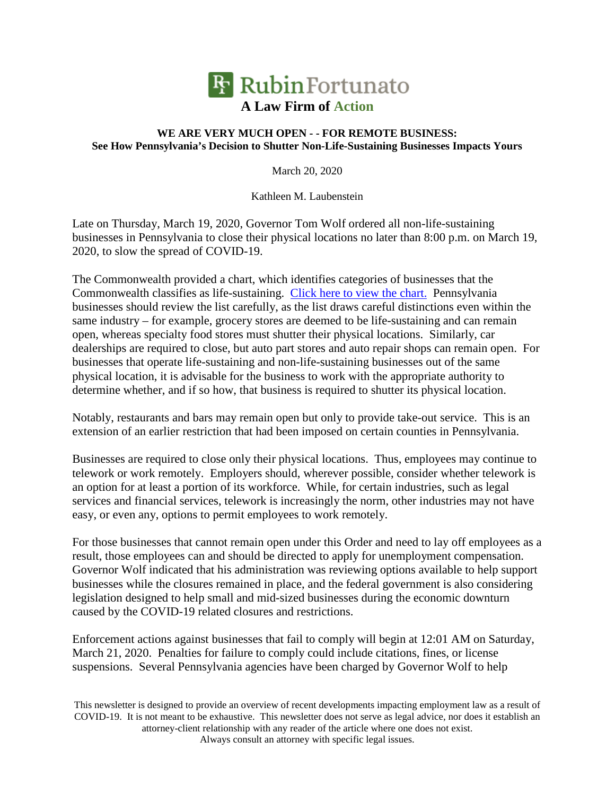

## **WE ARE VERY MUCH OPEN - - FOR REMOTE BUSINESS: See How Pennsylvania's Decision to Shutter Non-Life-Sustaining Businesses Impacts Yours**

March 20, 2020

Kathleen M. Laubenstein

Late on Thursday, March 19, 2020, Governor Tom Wolf ordered all non-life-sustaining businesses in Pennsylvania to close their physical locations no later than 8:00 p.m. on March 19, 2020, to slow the spread of COVID-19.

The Commonwealth provided a chart, which identifies categories of businesses that the Commonwealth classifies as life-sustaining. Click here to view the chart. Pennsylvania businesses should review the list carefully, as the list draws careful distinctions even within the same industry – for example, grocery stores are deemed to be life-sustaining and can remain open, whereas specialty food stores must shutter their physical locations. Similarly, car dealerships are required to close, but auto part stores and auto repair shops can remain open. For businesses that operate life-sustaining and non-life-sustaining businesses out of the same physical location, it is advisable for the business to work with the appropriate authority to determine whether, and if so how, that business is required to shutter its physical location.

Notably, restaurants and bars may remain open but only to provide take-out service. This is an extension of an earlier restriction that had been imposed on certain counties in Pennsylvania.

Businesses are required to close only their physical locations. Thus, employees may continue to telework or work remotely. Employers should, wherever possible, consider whether telework is an option for at least a portion of its workforce. While, for certain industries, such as legal services and financial services, telework is increasingly the norm, other industries may not have easy, or even any, options to permit employees to work remotely.

For those businesses that cannot remain open under this Order and need to lay off employees as a result, those employees can and should be directed to apply for unemployment compensation. Governor Wolf indicated that his administration was reviewing options available to help support businesses while the closures remained in place, and the federal government is also considering legislation designed to help small and mid-sized businesses during the economic downturn caused by the COVID-19 related closures and restrictions.

Enforcement actions against businesses that fail to comply will begin at 12:01 AM on Saturday, March 21, 2020. Penalties for failure to comply could include citations, fines, or license suspensions. Several Pennsylvania agencies have been charged by Governor Wolf to help

This newsletter is designed to provide an overview of recent developments impacting employment law as a result of COVID-19. It is not meant to be exhaustive. This newsletter does not serve as legal advice, nor does it establish an attorney-client relationship with any reader of the article where one does not exist. Always consult an attorney with specific legal issues.